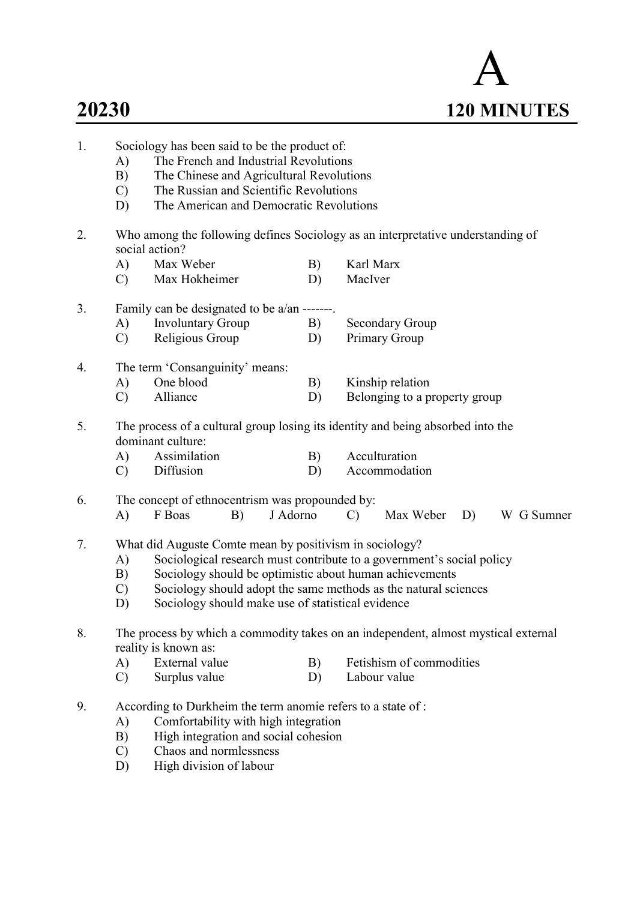| 20230 |                                 |                                                                                                                                                                                                                         |          |                                                                                                                                                                                                     |    | <b>120 MINUTES</b> |
|-------|---------------------------------|-------------------------------------------------------------------------------------------------------------------------------------------------------------------------------------------------------------------------|----------|-----------------------------------------------------------------------------------------------------------------------------------------------------------------------------------------------------|----|--------------------|
| 1.    | A)<br>B)<br>$\mathcal{C}$<br>D) | Sociology has been said to be the product of:<br>The French and Industrial Revolutions<br>The Chinese and Agricultural Revolutions<br>The Russian and Scientific Revolutions<br>The American and Democratic Revolutions |          |                                                                                                                                                                                                     |    |                    |
| 2.    |                                 | Who among the following defines Sociology as an interpretative understanding of<br>social action?                                                                                                                       |          |                                                                                                                                                                                                     |    |                    |
|       | A)                              | Max Weber                                                                                                                                                                                                               | B)       | Karl Marx                                                                                                                                                                                           |    |                    |
|       | $\mathcal{C}$                   | Max Hokheimer                                                                                                                                                                                                           | D)       | MacIver                                                                                                                                                                                             |    |                    |
| 3.    |                                 | Family can be designated to be a/an -------.                                                                                                                                                                            |          |                                                                                                                                                                                                     |    |                    |
|       | A)                              | <b>Involuntary Group</b>                                                                                                                                                                                                | B)       | <b>Secondary Group</b>                                                                                                                                                                              |    |                    |
|       | $\mathcal{C}$                   | Religious Group                                                                                                                                                                                                         | D)       | Primary Group                                                                                                                                                                                       |    |                    |
| 4.    |                                 | The term 'Consanguinity' means:                                                                                                                                                                                         |          |                                                                                                                                                                                                     |    |                    |
|       | A)                              | One blood                                                                                                                                                                                                               | B)       | Kinship relation                                                                                                                                                                                    |    |                    |
|       | $\mathcal{C}$                   | Alliance                                                                                                                                                                                                                | D)       | Belonging to a property group                                                                                                                                                                       |    |                    |
| 5.    |                                 | The process of a cultural group losing its identity and being absorbed into the<br>dominant culture:                                                                                                                    |          |                                                                                                                                                                                                     |    |                    |
|       | A)                              | Assimilation                                                                                                                                                                                                            | B)       | Acculturation                                                                                                                                                                                       |    |                    |
|       | $\mathcal{C}$                   | Diffusion                                                                                                                                                                                                               | D)       | Accommodation                                                                                                                                                                                       |    |                    |
| 6.    |                                 | The concept of ethnocentrism was propounded by:                                                                                                                                                                         |          |                                                                                                                                                                                                     |    |                    |
|       | A)                              | F Boas<br>B)                                                                                                                                                                                                            | J Adorno | Max Weber<br>$\mathcal{C}$                                                                                                                                                                          | D) | W G Sumner         |
| 7.    | A)<br>B)<br>$\mathcal{C}$<br>D) | What did Auguste Comte mean by positivism in sociology?<br>Sociology should make use of statistical evidence                                                                                                            |          | Sociological research must contribute to a government's social policy<br>Sociology should be optimistic about human achievements<br>Sociology should adopt the same methods as the natural sciences |    |                    |
| 8.    |                                 | The process by which a commodity takes on an independent, almost mystical external<br>reality is known as:                                                                                                              |          |                                                                                                                                                                                                     |    |                    |
|       | A)                              | External value                                                                                                                                                                                                          | B)       | Fetishism of commodities                                                                                                                                                                            |    |                    |
|       | C)                              | Surplus value                                                                                                                                                                                                           | D)       | Labour value                                                                                                                                                                                        |    |                    |
| 9.    | A)<br>B)<br>$\mathcal{C}$<br>D) | According to Durkheim the term anomie refers to a state of :<br>Comfortability with high integration<br>High integration and social cohesion<br>Chaos and normlessness<br>High division of labour                       |          |                                                                                                                                                                                                     |    |                    |

A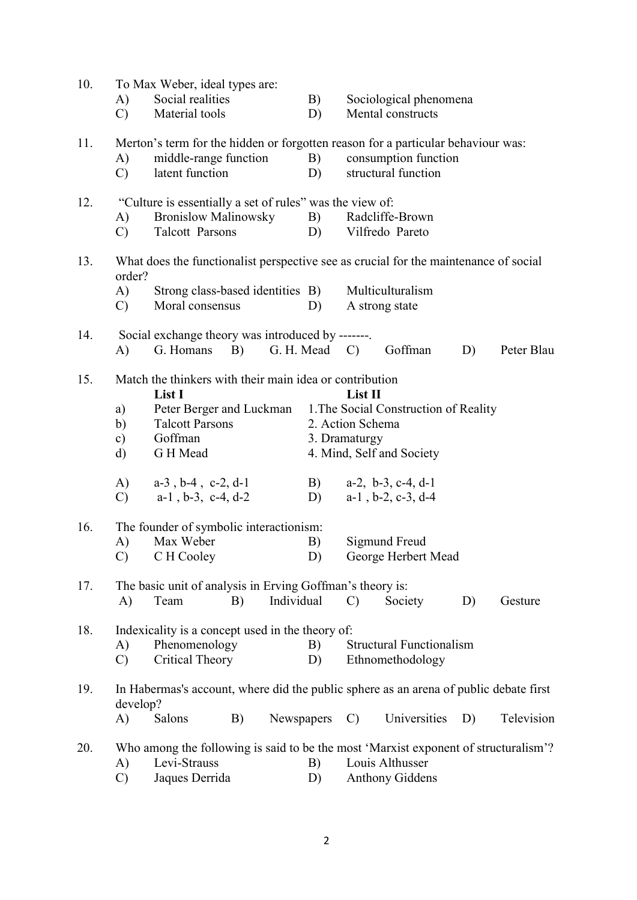| 10. |               | To Max Weber, ideal types are:                                                        |            |                                       |                  |                                       |    |            |  |
|-----|---------------|---------------------------------------------------------------------------------------|------------|---------------------------------------|------------------|---------------------------------------|----|------------|--|
|     | A)            | Social realities                                                                      |            | B)                                    |                  | Sociological phenomena                |    |            |  |
|     | $\mathbf{C}$  | Material tools                                                                        |            | D)                                    |                  | Mental constructs                     |    |            |  |
| 11. |               | Merton's term for the hidden or forgotten reason for a particular behaviour was:      |            |                                       |                  |                                       |    |            |  |
|     | A)            | middle-range function                                                                 |            | B)                                    |                  | consumption function                  |    |            |  |
|     | $\mathcal{C}$ | latent function                                                                       |            | D)                                    |                  | structural function                   |    |            |  |
| 12. |               | "Culture is essentially a set of rules" was the view of:                              |            |                                       |                  |                                       |    |            |  |
|     | A)            | <b>Bronislow Malinowsky</b>                                                           |            | B)                                    |                  | Radcliffe-Brown                       |    |            |  |
|     | $\mathbf{C}$  | <b>Talcott Parsons</b>                                                                |            | D)                                    |                  | Vilfredo Pareto                       |    |            |  |
| 13. | order?        | What does the functionalist perspective see as crucial for the maintenance of social  |            |                                       |                  |                                       |    |            |  |
|     | A)            | Strong class-based identities B)                                                      |            |                                       |                  | Multiculturalism                      |    |            |  |
|     | $\mathcal{C}$ | Moral consensus                                                                       |            | D)                                    |                  | A strong state                        |    |            |  |
| 14. |               | Social exchange theory was introduced by -------.                                     |            |                                       |                  |                                       |    |            |  |
|     | A)            | G. Homans<br>B)                                                                       |            | $G. H. Mead \quad C)$                 |                  | Goffman                               | D) | Peter Blau |  |
| 15. |               | Match the thinkers with their main idea or contribution<br>List I                     |            |                                       | List II          |                                       |    |            |  |
|     | a)            | Peter Berger and Luckman                                                              |            |                                       |                  | 1. The Social Construction of Reality |    |            |  |
|     | $\mathbf{b}$  | <b>Talcott Parsons</b>                                                                |            |                                       | 2. Action Schema |                                       |    |            |  |
|     | $\mathbf{c})$ | Goffman                                                                               |            |                                       | 3. Dramaturgy    |                                       |    |            |  |
|     | d)            | G H Mead                                                                              |            |                                       |                  | 4. Mind, Self and Society             |    |            |  |
|     | A)            | $a-3$ , $b-4$ , $c-2$ , $d-1$                                                         |            | B)                                    |                  | $a-2$ , $b-3$ , $c-4$ , $d-1$         |    |            |  |
|     | $\mathcal{C}$ | $a-1$ , $b-3$ , $c-4$ , $d-2$                                                         |            | D)                                    |                  | $a-1$ , $b-2$ , $c-3$ , $d-4$         |    |            |  |
| 16. |               | The founder of symbolic interactionism:                                               |            |                                       |                  |                                       |    |            |  |
|     | A)            | Max Weber                                                                             |            | B)                                    |                  | Sigmund Freud                         |    |            |  |
|     | $\mathcal{C}$ | C H Cooley                                                                            |            | D)                                    |                  | George Herbert Mead                   |    |            |  |
| 17. |               | The basic unit of analysis in Erving Goffman's theory is:                             |            |                                       |                  |                                       |    |            |  |
|     | A)            | Team<br>B)                                                                            | Individual |                                       | $\mathcal{C}$    | Society                               | D) | Gesture    |  |
| 18. |               | Indexicality is a concept used in the theory of:                                      |            |                                       |                  |                                       |    |            |  |
|     | A)            | Phenomenology                                                                         |            | <b>Structural Functionalism</b><br>B) |                  |                                       |    |            |  |
|     | $\mathcal{C}$ | <b>Critical Theory</b>                                                                |            | D)                                    |                  | Ethnomethodology                      |    |            |  |
| 19. | develop?      | In Habermas's account, where did the public sphere as an arena of public debate first |            |                                       |                  |                                       |    |            |  |
|     | A)            | Salons<br>B)                                                                          | Newspapers |                                       | $\mathcal{C}$    | Universities                          | D) | Television |  |
| 20. |               | Who among the following is said to be the most 'Marxist exponent of structuralism'?   |            |                                       |                  |                                       |    |            |  |
|     | A)            | Levi-Strauss                                                                          |            | B)                                    |                  | Louis Althusser                       |    |            |  |
|     | $\mathcal{C}$ | Jaques Derrida                                                                        |            | D)                                    |                  | <b>Anthony Giddens</b>                |    |            |  |
|     |               |                                                                                       |            |                                       |                  |                                       |    |            |  |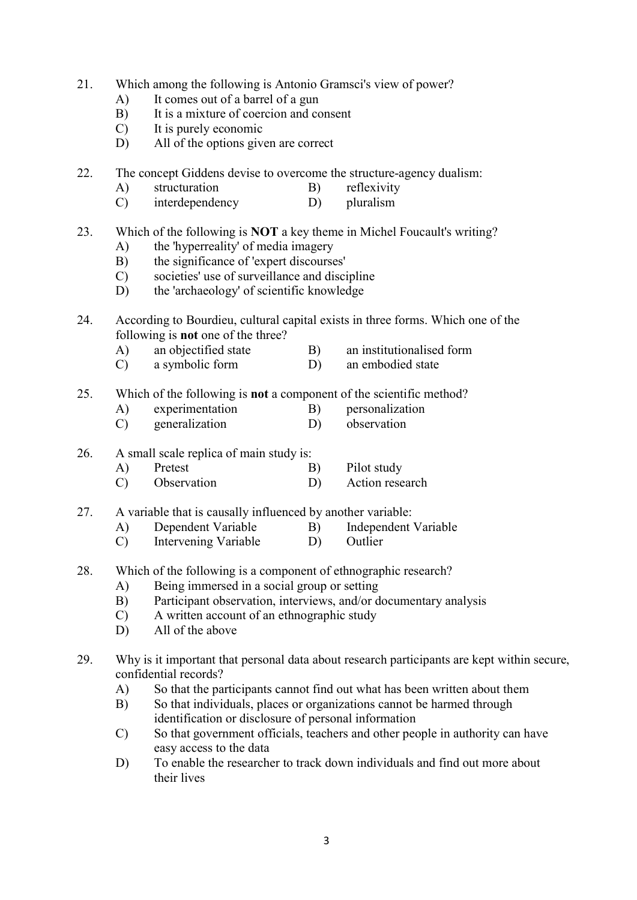- 21. Which among the following is Antonio Gramsci's view of power?
	- A) It comes out of a barrel of a gun
	- B) It is a mixture of coercion and consent
	- C) It is purely economic
	- D) All of the options given are correct
- 22. The concept Giddens devise to overcome the structure-agency dualism:
	- A) structuration B) reflexivity
	- C) interdependency D) pluralism

# 23. Which of the following is NOT a key theme in Michel Foucault's writing?

- A) the 'hyperreality' of media imagery
- B) the significance of 'expert discourses'
- C) societies' use of surveillance and discipline
- D) the 'archaeology' of scientific knowledge
- 24. According to Bourdieu, cultural capital exists in three forms. Which one of the following is not one of the three?
	- A) an objectified state B) an institutionalised form
	- C) a symbolic form D) an embodied state

25. Which of the following is not a component of the scientific method?

- A) experimentation B) personalization
- C) generalization D) observation
- 26. A small scale replica of main study is:
	- A) Pretest B) Pilot study C) Observation D) Action research
	-

27. A variable that is causally influenced by another variable:

- A) Dependent Variable B) Independent Variable
- C) Intervening Variable D) Outlier
- 28. Which of the following is a component of ethnographic research?
	- A) Being immersed in a social group or setting
	- B) Participant observation, interviews, and/or documentary analysis
	- C) A written account of an ethnographic study
	- D) All of the above
- 29. Why is it important that personal data about research participants are kept within secure, confidential records?
	- A) So that the participants cannot find out what has been written about them
	- B) So that individuals, places or organizations cannot be harmed through identification or disclosure of personal information
	- C) So that government officials, teachers and other people in authority can have easy access to the data
	- D) To enable the researcher to track down individuals and find out more about their lives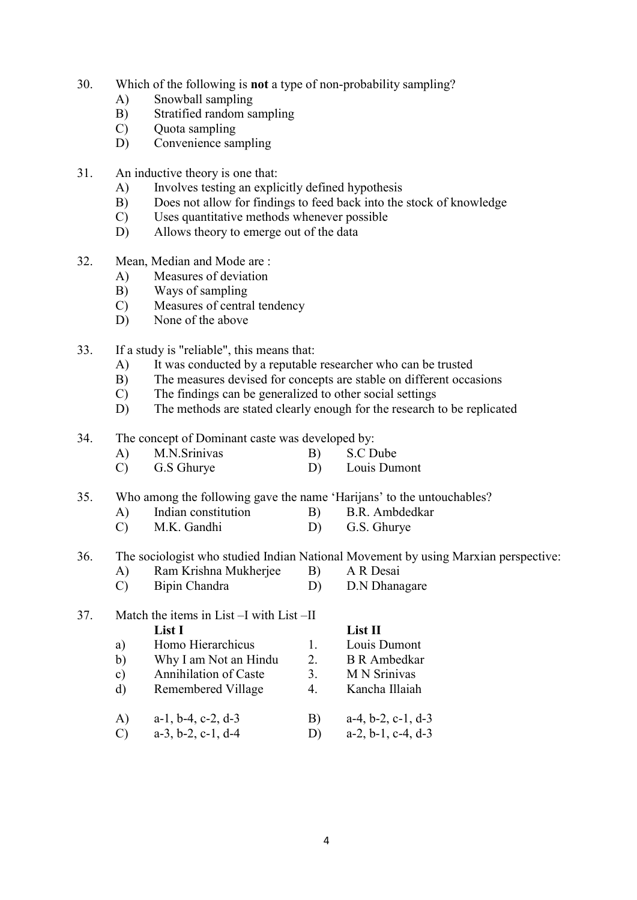- 30. Which of the following is not a type of non-probability sampling?
	- A) Snowball sampling
	- B) Stratified random sampling
	- C) Quota sampling
	- D) Convenience sampling
- 31. An inductive theory is one that:
	- A) Involves testing an explicitly defined hypothesis
	- B) Does not allow for findings to feed back into the stock of knowledge
	- C) Uses quantitative methods whenever possible
	- D) Allows theory to emerge out of the data
- 32. Mean, Median and Mode are :
	- A) Measures of deviation
	- B) Ways of sampling
	- C) Measures of central tendency
	- D) None of the above
- 33. If a study is "reliable", this means that:
	- A) It was conducted by a reputable researcher who can be trusted
	- B) The measures devised for concepts are stable on different occasions
	- C) The findings can be generalized to other social settings
	- D) The methods are stated clearly enough for the research to be replicated

34. The concept of Dominant caste was developed by:

- A) M.N.Srinivas B) S.C Dube C) G.S Ghurye D) Louis Dumont
- 35. Who among the following gave the name 'Harijans' to the untouchables?
	- A) Indian constitution B) B.R. Ambdedkar
	- C) M.K. Gandhi D) G.S. Ghurye

### 36. The sociologist who studied Indian National Movement by using Marxian perspective:

- A) Ram Krishna Mukherjee B) A R Desai
- C) Bipin Chandra D) D.N Dhanagare
- 37. Match the items in List –I with List –II List I List II a) Homo Hierarchicus 1. Louis Dumont b) Why I am Not an Hindu 2. B R Ambedkar c) Annihilation of Caste 3. M N Srinivas d) Remembered Village 4. Kancha Illaiah A) a-1, b-4, c-2, d-3 B) a-4, b-2, c-1, d-3 C) a-3, b-2, c-1, d-4 D) a-2, b-1, c-4, d-3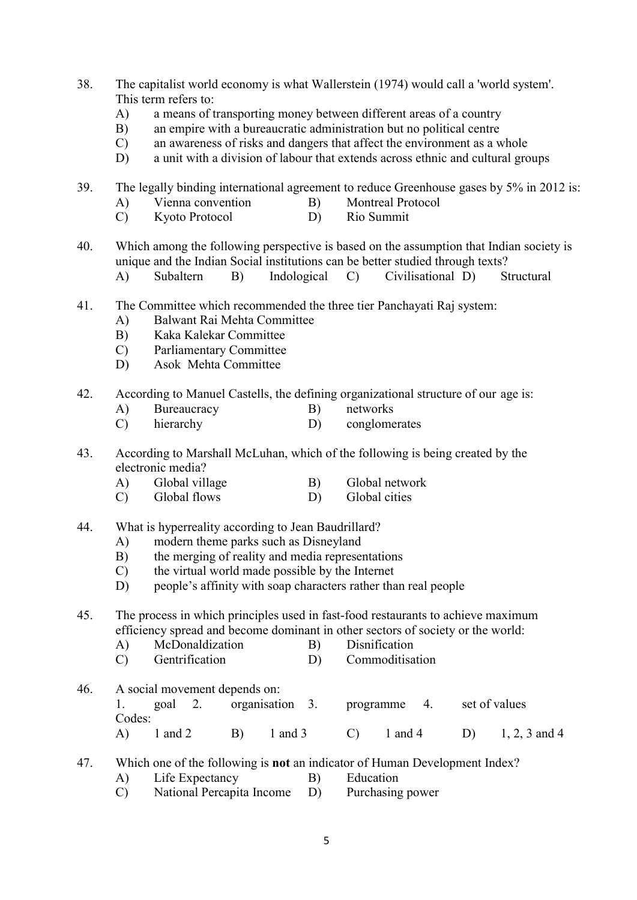- 38. The capitalist world economy is what Wallerstein (1974) would call a 'world system'. This term refers to:
	- A) a means of transporting money between different areas of a country
	- B) an empire with a bureaucratic administration but no political centre
	- C) an awareness of risks and dangers that affect the environment as a whole
	- D) a unit with a division of labour that extends across ethnic and cultural groups
- 39. The legally binding international agreement to reduce Greenhouse gases by 5% in 2012 is:
	- A) Vienna convention B) Montreal Protocol
	- C) Kyoto Protocol D) Rio Summit
- 40. Which among the following perspective is based on the assumption that Indian society is unique and the Indian Social institutions can be better studied through texts?
	- A) Subaltern B) Indological C) Civilisational D) Structural
- 41. The Committee which recommended the three tier Panchayati Raj system:
	- A) Balwant Rai Mehta Committee
	- B) Kaka Kalekar Committee
	- C) Parliamentary Committee
	- D) Asok Mehta Committee
- 42. According to Manuel Castells, the defining organizational structure of our age is:
	- A) Bureaucracy B) networks
	- C) hierarchy D) conglomerates
- 43. According to Marshall McLuhan, which of the following is being created by the electronic media?
	- A) Global village B) Global network
	- C) Global flows D) Global cities
- 44. What is hyperreality according to Jean Baudrillard?
	- A) modern theme parks such as Disneyland
	- B) the merging of reality and media representations
	- C) the virtual world made possible by the Internet
	- D) people's affinity with soap characters rather than real people
- 45. The process in which principles used in fast-food restaurants to achieve maximum efficiency spread and become dominant in other sectors of society or the world:
	- A) McDonaldization B) Disnification
	- C) Gentrification D) Commoditisation
- 46. A social movement depends on:

|        |             |  | goal 2. organisation 3. programme 4. set of values                      |  |
|--------|-------------|--|-------------------------------------------------------------------------|--|
| Codes: |             |  |                                                                         |  |
|        | $1$ and $2$ |  | B) $1 \text{ and } 3$ C) $1 \text{ and } 4$ D) $1, 2, 3 \text{ and } 4$ |  |

## 47. Which one of the following is not an indicator of Human Development Index?

- A) Life Expectancy B) Education
- C) National Percapita Income D) Purchasing power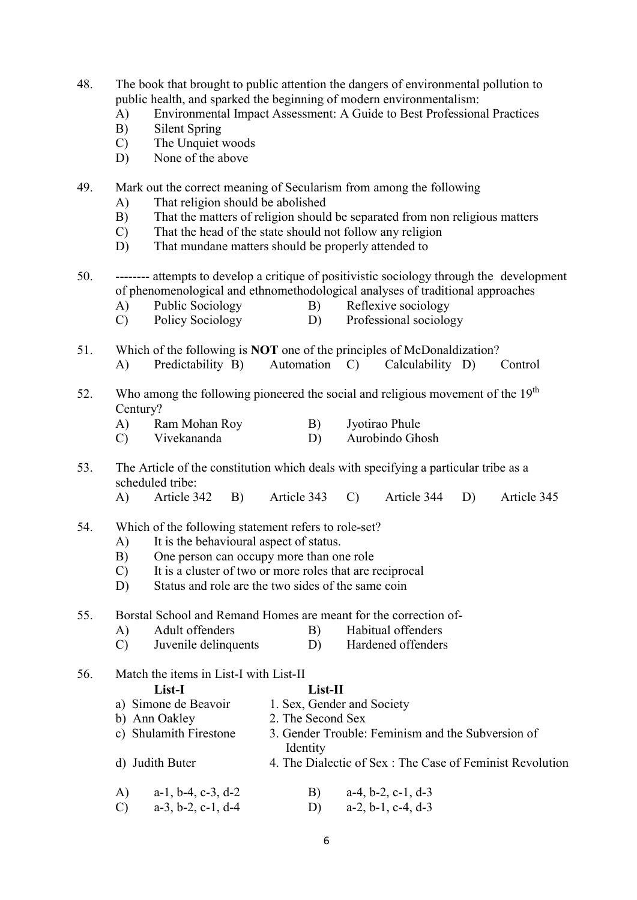- 48. The book that brought to public attention the dangers of environmental pollution to public health, and sparked the beginning of modern environmentalism:
	- A) Environmental Impact Assessment: A Guide to Best Professional Practices
	- B) Silent Spring
	- C) The Unquiet woods
	- D) None of the above
- 49. Mark out the correct meaning of Secularism from among the following
	- A) That religion should be abolished
	- B) That the matters of religion should be separated from non religious matters
	- C) That the head of the state should not follow any religion
	- D) That mundane matters should be properly attended to
- 50. -------- attempts to develop a critique of positivistic sociology through the development of phenomenological and ethnomethodological analyses of traditional approaches
	- A) Public Sociology B) Reflexive sociology
	- C) Policy Sociology D) Professional sociology
- 51. Which of the following is NOT one of the principles of McDonaldization?
	- A) Predictability B) Automation C) Calculability D) Control
- 52. Who among the following pioneered the social and religious movement of the  $19<sup>th</sup>$  Century?
	- A) Ram Mohan Roy B) Jyotirao Phule
	- C) Vivekananda D) Aurobindo Ghosh
- 53. The Article of the constitution which deals with specifying a particular tribe as a scheduled tribe:
	- A) Article 342 B) Article 343 C) Article 344 D) Article 345
- 54. Which of the following statement refers to role-set?
	- A) It is the behavioural aspect of status.
	- B) One person can occupy more than one role
	- C) It is a cluster of two or more roles that are reciprocal
	- D) Status and role are the two sides of the same coin
- 55. Borstal School and Remand Homes are meant for the correction of-
	- A) Adult offenders B) Habitual offenders
	- C) Juvenile delinquents D) Hardened offenders
- 56. Match the items in List-I with List-II

# List-I List-II

- a) Simone de Beavoir 1. Sex, Gender and Society
- b) Ann Oakley 2. The Second Sex
- c) Shulamith Firestone 3. Gender Trouble: Feminism and the Subversion of Identity
- d) Judith Buter 4. The Dialectic of Sex : The Case of Feminist Revolution

| A) $a-1, b-4, c-3, d-2$ | B) $a-4, b-2, c-1, d-3$ |
|-------------------------|-------------------------|
| C) $a-3, b-2, c-1, d-4$ | D) $a-2, b-1, c-4, d-3$ |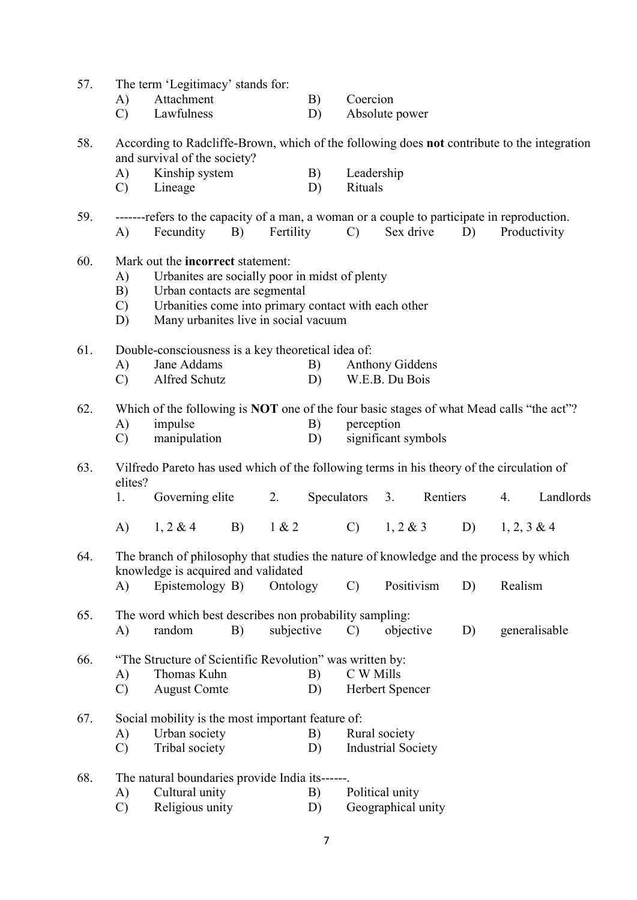| 57. | The term 'Legitimacy' stands for:                                                        |                                                                                                                               |                                                                                           |            |    |                                                                                             |                           |          |    |                |           |
|-----|------------------------------------------------------------------------------------------|-------------------------------------------------------------------------------------------------------------------------------|-------------------------------------------------------------------------------------------|------------|----|---------------------------------------------------------------------------------------------|---------------------------|----------|----|----------------|-----------|
|     | A)                                                                                       | Attachment                                                                                                                    |                                                                                           |            | B) | Coercion                                                                                    |                           |          |    |                |           |
|     | $\mathcal{C}$                                                                            | Lawfulness                                                                                                                    |                                                                                           |            | D) | Absolute power                                                                              |                           |          |    |                |           |
| 58. | and survival of the society?                                                             |                                                                                                                               |                                                                                           |            |    | According to Radcliffe-Brown, which of the following does not contribute to the integration |                           |          |    |                |           |
|     | A)                                                                                       | Kinship system                                                                                                                |                                                                                           |            | B) | Leadership                                                                                  |                           |          |    |                |           |
|     | $\mathcal{C}$                                                                            | Lineage                                                                                                                       |                                                                                           |            | D) | Rituals                                                                                     |                           |          |    |                |           |
| 59. | A)                                                                                       | -------refers to the capacity of a man, a woman or a couple to participate in reproduction.<br>Fecundity                      | B)                                                                                        | Fertility  |    | $\mathcal{C}$                                                                               | Sex drive                 |          | D) | Productivity   |           |
| 60. | Mark out the <b>incorrect</b> statement:                                                 |                                                                                                                               |                                                                                           |            |    |                                                                                             |                           |          |    |                |           |
|     | A)                                                                                       | Urbanites are socially poor in midst of plenty                                                                                |                                                                                           |            |    |                                                                                             |                           |          |    |                |           |
|     | B)                                                                                       | Urban contacts are segmental                                                                                                  |                                                                                           |            |    |                                                                                             |                           |          |    |                |           |
|     | $\mathbf{C}$                                                                             | Urbanities come into primary contact with each other                                                                          |                                                                                           |            |    |                                                                                             |                           |          |    |                |           |
|     | D)                                                                                       | Many urbanites live in social vacuum                                                                                          |                                                                                           |            |    |                                                                                             |                           |          |    |                |           |
| 61. |                                                                                          | Double-consciousness is a key theoretical idea of:                                                                            |                                                                                           |            |    |                                                                                             |                           |          |    |                |           |
|     | A)                                                                                       | Jane Addams                                                                                                                   |                                                                                           |            | B) |                                                                                             | <b>Anthony Giddens</b>    |          |    |                |           |
|     | $\mathcal{C}$                                                                            | Alfred Schutz                                                                                                                 |                                                                                           |            | D) |                                                                                             | W.E.B. Du Bois            |          |    |                |           |
| 62. | Which of the following is NOT one of the four basic stages of what Mead calls "the act"? |                                                                                                                               |                                                                                           |            |    |                                                                                             |                           |          |    |                |           |
|     | A)                                                                                       | impulse                                                                                                                       |                                                                                           |            | B) | perception                                                                                  |                           |          |    |                |           |
|     | $\mathcal{C}$                                                                            | manipulation                                                                                                                  |                                                                                           |            | D) |                                                                                             | significant symbols       |          |    |                |           |
| 63. | elites?                                                                                  |                                                                                                                               | Vilfredo Pareto has used which of the following terms in his theory of the circulation of |            |    |                                                                                             |                           |          |    |                |           |
|     | 1.                                                                                       | Governing elite                                                                                                               |                                                                                           | 2.         |    | Speculators                                                                                 | 3.                        | Rentiers |    | 4.             | Landlords |
|     | A)                                                                                       | $1, 2 \& 4$                                                                                                                   | B)                                                                                        | 1 & 2      |    | $\mathcal{C}$                                                                               | $1, 2 \& 3$               |          | D) | $1, 2, 3 \& 4$ |           |
| 64. |                                                                                          | The branch of philosophy that studies the nature of knowledge and the process by which<br>knowledge is acquired and validated |                                                                                           |            |    |                                                                                             |                           |          |    |                |           |
|     | A)                                                                                       | Epistemology B)                                                                                                               |                                                                                           | Ontology   |    | $\mathcal{C}$                                                                               | Positivism                |          | D) | Realism        |           |
| 65. | The word which best describes non probability sampling:                                  |                                                                                                                               |                                                                                           |            |    |                                                                                             |                           |          |    |                |           |
|     | A)                                                                                       | random                                                                                                                        | B)                                                                                        | subjective |    | $\mathcal{C}$                                                                               | objective                 |          | D) | generalisable  |           |
| 66. |                                                                                          | "The Structure of Scientific Revolution" was written by:                                                                      |                                                                                           |            |    |                                                                                             |                           |          |    |                |           |
|     | A)                                                                                       | Thomas Kuhn                                                                                                                   |                                                                                           |            | B) | C W Mills                                                                                   |                           |          |    |                |           |
|     | $\mathcal{C}$                                                                            | <b>August Comte</b>                                                                                                           |                                                                                           |            | D) |                                                                                             | Herbert Spencer           |          |    |                |           |
| 67. |                                                                                          | Social mobility is the most important feature of:                                                                             |                                                                                           |            |    |                                                                                             |                           |          |    |                |           |
|     | A)                                                                                       | Urban society                                                                                                                 |                                                                                           |            | B) |                                                                                             | Rural society             |          |    |                |           |
|     | $\mathcal{C}$                                                                            | Tribal society                                                                                                                |                                                                                           |            | D) |                                                                                             | <b>Industrial Society</b> |          |    |                |           |
| 68. |                                                                                          | The natural boundaries provide India its------.                                                                               |                                                                                           |            |    |                                                                                             |                           |          |    |                |           |
|     | A)                                                                                       | Cultural unity                                                                                                                |                                                                                           |            | B) |                                                                                             | Political unity           |          |    |                |           |
|     | $\mathcal{C}$                                                                            | Religious unity                                                                                                               |                                                                                           |            | D) |                                                                                             | Geographical unity        |          |    |                |           |
|     |                                                                                          |                                                                                                                               |                                                                                           |            |    |                                                                                             |                           |          |    |                |           |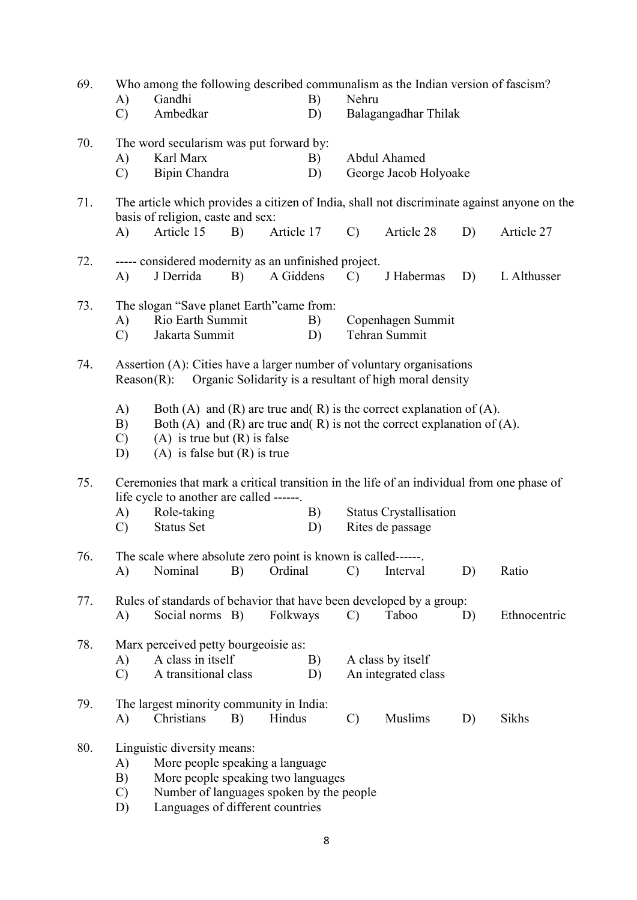| 69. | Who among the following described communalism as the Indian version of fascism? |                                                                                                                                       |                                                         |               |                               |    |              |  |
|-----|---------------------------------------------------------------------------------|---------------------------------------------------------------------------------------------------------------------------------------|---------------------------------------------------------|---------------|-------------------------------|----|--------------|--|
|     | $\bf{A}$ )                                                                      | Gandhi                                                                                                                                | B)                                                      |               | Nehru                         |    |              |  |
|     | $\mathcal{C}$                                                                   | Ambedkar                                                                                                                              | D)                                                      |               | Balagangadhar Thilak          |    |              |  |
| 70. |                                                                                 | The word secularism was put forward by:                                                                                               |                                                         |               |                               |    |              |  |
|     | A)                                                                              | Karl Marx                                                                                                                             | B)                                                      |               | Abdul Ahamed                  |    |              |  |
|     | $\mathbf{C}$                                                                    | Bipin Chandra                                                                                                                         | D)                                                      |               | George Jacob Holyoake         |    |              |  |
| 71. |                                                                                 |                                                                                                                                       |                                                         |               |                               |    |              |  |
|     |                                                                                 | The article which provides a citizen of India, shall not discriminate against anyone on the<br>basis of religion, caste and sex:      |                                                         |               |                               |    |              |  |
|     | A)                                                                              | Article 15<br>B)                                                                                                                      | Article 17                                              | $\mathcal{C}$ | Article 28                    | D) | Article 27   |  |
|     |                                                                                 |                                                                                                                                       |                                                         |               |                               |    |              |  |
| 72. | A)                                                                              | ----- considered modernity as an unfinished project.<br>J Derrida<br>B)                                                               | A Giddens                                               | $\mathcal{C}$ | J Habermas                    | D) | L Althusser  |  |
|     |                                                                                 |                                                                                                                                       |                                                         |               |                               |    |              |  |
| 73. |                                                                                 | The slogan "Save planet Earth" came from:                                                                                             |                                                         |               |                               |    |              |  |
|     | A)                                                                              | Rio Earth Summit                                                                                                                      | B)                                                      |               | Copenhagen Summit             |    |              |  |
|     | Jakarta Summit<br>D)<br>Tehran Summit<br>$\mathcal{C}$                          |                                                                                                                                       |                                                         |               |                               |    |              |  |
| 74. |                                                                                 | Assertion (A): Cities have a larger number of voluntary organisations                                                                 |                                                         |               |                               |    |              |  |
|     |                                                                                 | $Reason(R)$ :                                                                                                                         | Organic Solidarity is a resultant of high moral density |               |                               |    |              |  |
|     |                                                                                 |                                                                                                                                       |                                                         |               |                               |    |              |  |
|     | A)                                                                              | Both (A) and (R) are true and (R) is the correct explanation of (A).                                                                  |                                                         |               |                               |    |              |  |
|     | B)<br>$\mathcal{C}$                                                             | Both (A) and (R) are true and (R) is not the correct explanation of $(A)$ .<br>(A) is true but $(R)$ is false                         |                                                         |               |                               |    |              |  |
|     | D)                                                                              | (A) is false but $(R)$ is true                                                                                                        |                                                         |               |                               |    |              |  |
|     |                                                                                 |                                                                                                                                       |                                                         |               |                               |    |              |  |
| 75. |                                                                                 | Ceremonies that mark a critical transition in the life of an individual from one phase of<br>life cycle to another are called ------. |                                                         |               |                               |    |              |  |
|     | A)                                                                              | Role-taking                                                                                                                           | B)                                                      |               | <b>Status Crystallisation</b> |    |              |  |
|     | $\mathcal{C}$                                                                   | <b>Status Set</b>                                                                                                                     | D)                                                      |               | Rites de passage              |    |              |  |
|     |                                                                                 |                                                                                                                                       |                                                         |               |                               |    |              |  |
| 76. | A)                                                                              | The scale where absolute zero point is known is called------.<br>Nominal<br>B)                                                        | Ordinal                                                 | $\mathbf{C}$  | Interval                      | D) | Ratio        |  |
|     |                                                                                 |                                                                                                                                       |                                                         |               |                               |    |              |  |
| 77. |                                                                                 | Rules of standards of behavior that have been developed by a group:                                                                   |                                                         |               |                               |    |              |  |
|     | A)                                                                              | Social norms B)                                                                                                                       | Folkways                                                | $\mathcal{C}$ | Taboo                         | D) | Ethnocentric |  |
| 78. |                                                                                 | Marx perceived petty bourgeoisie as:                                                                                                  |                                                         |               |                               |    |              |  |
|     | A)                                                                              | A class in itself                                                                                                                     | B)                                                      |               | A class by itself             |    |              |  |
|     | $\mathcal{C}$                                                                   | A transitional class                                                                                                                  | D)                                                      |               | An integrated class           |    |              |  |
|     |                                                                                 |                                                                                                                                       |                                                         |               |                               |    |              |  |
| 79. |                                                                                 | The largest minority community in India:                                                                                              |                                                         |               |                               |    |              |  |
|     | A)                                                                              | Christians<br>B)                                                                                                                      | Hindus                                                  | $\mathcal{C}$ | Muslims                       | D) | Sikhs        |  |
| 80. |                                                                                 | Linguistic diversity means:                                                                                                           |                                                         |               |                               |    |              |  |
|     | A)                                                                              | More people speaking a language                                                                                                       |                                                         |               |                               |    |              |  |
|     | B)                                                                              | More people speaking two languages                                                                                                    |                                                         |               |                               |    |              |  |
|     | $\mathcal{C}$                                                                   | Number of languages spoken by the people                                                                                              |                                                         |               |                               |    |              |  |
|     | D)                                                                              | Languages of different countries                                                                                                      |                                                         |               |                               |    |              |  |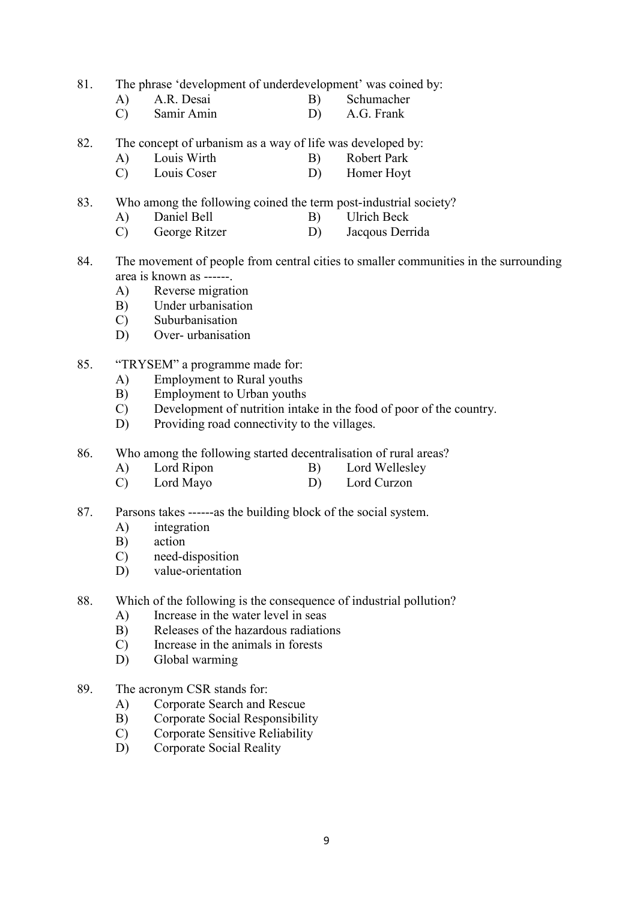81. The phrase 'development of underdevelopment' was coined by:

- A) A.R. Desai B) Schumacher<br>
C) Samir Amin D) A.G. Frank
- $(C)$  Samir Amin D)
- 82. The concept of urbanism as a way of life was developed by:
	- A) Louis Wirth B) Robert Park
	- C) Louis Coser D) Homer Hoyt

83. Who among the following coined the term post-industrial society?

- A) Daniel Bell B) Ulrich Beck
- C) George Ritzer D) Jacqous Derrida
- 84. The movement of people from central cities to smaller communities in the surrounding area is known as ------.
	- A) Reverse migration
	- B) Under urbanisation
	- C) Suburbanisation
	- D) Over- urbanisation
- 85. "TRYSEM" a programme made for:
	- A) Employment to Rural youths
	- B) Employment to Urban youths
	- C) Development of nutrition intake in the food of poor of the country.
	- D) Providing road connectivity to the villages.
- 86. Who among the following started decentralisation of rural areas?
	- A) Lord Ripon B) Lord Wellesley
	- C) Lord Mayo D) Lord Curzon
- 87. Parsons takes ------as the building block of the social system.
	- A) integration
	- B) action
	- C) need-disposition
	- D) value-orientation
- 88. Which of the following is the consequence of industrial pollution?
	- A) Increase in the water level in seas
	- B) Releases of the hazardous radiations
	- C) Increase in the animals in forests
	- D) Global warming
- 89. The acronym CSR stands for:
	- A) Corporate Search and Rescue
	- B) Corporate Social Responsibility
	- C) Corporate Sensitive Reliability
	- D) Corporate Social Reality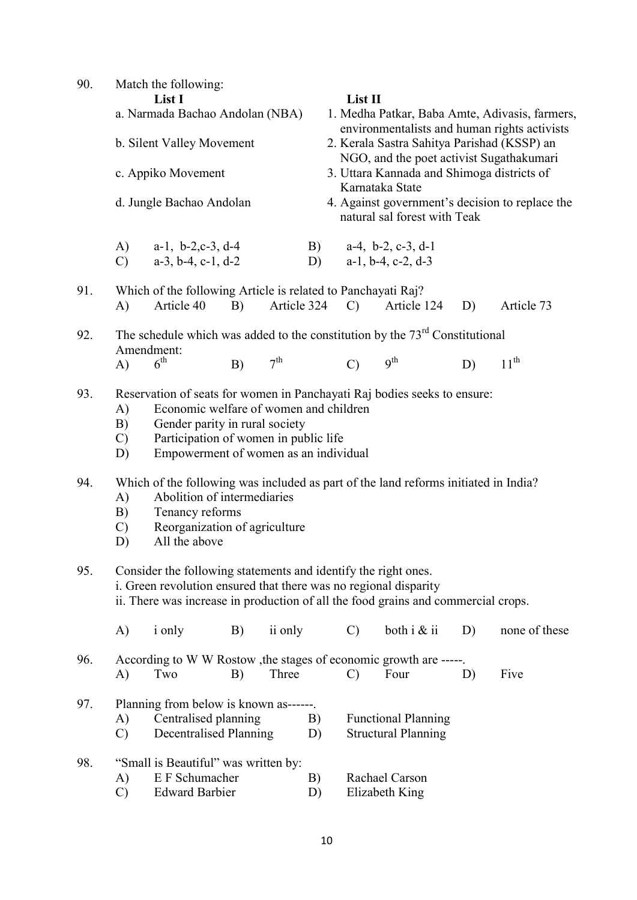| 90.        | Match the following:                                                                                                                                                                                                                                                                                                                                                                                  |                                                                                                                                                                                                                         |    |                 |          |               |                                                                                         |    |                                                                                                |  |  |
|------------|-------------------------------------------------------------------------------------------------------------------------------------------------------------------------------------------------------------------------------------------------------------------------------------------------------------------------------------------------------------------------------------------------------|-------------------------------------------------------------------------------------------------------------------------------------------------------------------------------------------------------------------------|----|-----------------|----------|---------------|-----------------------------------------------------------------------------------------|----|------------------------------------------------------------------------------------------------|--|--|
|            |                                                                                                                                                                                                                                                                                                                                                                                                       | List I                                                                                                                                                                                                                  |    |                 |          | List II       |                                                                                         |    |                                                                                                |  |  |
|            | a. Narmada Bachao Andolan (NBA)                                                                                                                                                                                                                                                                                                                                                                       |                                                                                                                                                                                                                         |    |                 |          |               |                                                                                         |    | 1. Medha Patkar, Baba Amte, Adivasis, farmers,<br>environmentalists and human rights activists |  |  |
|            | b. Silent Valley Movement                                                                                                                                                                                                                                                                                                                                                                             |                                                                                                                                                                                                                         |    |                 |          |               | 2. Kerala Sastra Sahitya Parishad (KSSP) an<br>NGO, and the poet activist Sugathakumari |    |                                                                                                |  |  |
|            | c. Appiko Movement                                                                                                                                                                                                                                                                                                                                                                                    |                                                                                                                                                                                                                         |    |                 |          |               | 3. Uttara Kannada and Shimoga districts of<br>Karnataka State                           |    |                                                                                                |  |  |
|            | d. Jungle Bachao Andolan                                                                                                                                                                                                                                                                                                                                                                              |                                                                                                                                                                                                                         |    |                 |          |               | natural sal forest with Teak                                                            |    | 4. Against government's decision to replace the                                                |  |  |
|            | A)                                                                                                                                                                                                                                                                                                                                                                                                    | $a-1$ , $b-2$ , $c-3$ , $d-4$                                                                                                                                                                                           |    |                 | B)       |               | $a-4$ , $b-2$ , $c-3$ , $d-1$                                                           |    |                                                                                                |  |  |
|            | $\mathcal{C}$                                                                                                                                                                                                                                                                                                                                                                                         | $a-3$ , $b-4$ , $c-1$ , $d-2$                                                                                                                                                                                           |    |                 | D)       |               | $a-1$ , $b-4$ , $c-2$ , $d-3$                                                           |    |                                                                                                |  |  |
| 91.        | A)                                                                                                                                                                                                                                                                                                                                                                                                    | Which of the following Article is related to Panchayati Raj?<br>Article 40                                                                                                                                              | B) | Article 324     |          | $\mathbf{C}$  | Article 124                                                                             | D) | Article 73                                                                                     |  |  |
| 92.        |                                                                                                                                                                                                                                                                                                                                                                                                       |                                                                                                                                                                                                                         |    |                 |          |               |                                                                                         |    |                                                                                                |  |  |
|            | The schedule which was added to the constitution by the $73rd$ Constitutional<br>Amendment:                                                                                                                                                                                                                                                                                                           |                                                                                                                                                                                                                         |    |                 |          |               |                                                                                         |    |                                                                                                |  |  |
|            | A)                                                                                                                                                                                                                                                                                                                                                                                                    | $6^{\text{th}}$                                                                                                                                                                                                         | B) | 7 <sup>th</sup> |          | $\mathcal{C}$ | 9 <sup>th</sup>                                                                         | D) | $11^{th}$                                                                                      |  |  |
| 93.<br>94. | Reservation of seats for women in Panchayati Raj bodies seeks to ensure:<br>Economic welfare of women and children<br>A)<br>Gender parity in rural society<br>B)<br>Participation of women in public life<br>$\mathcal{C}$<br>Empowerment of women as an individual<br>D)<br>Which of the following was included as part of the land reforms initiated in India?<br>Abolition of intermediaries<br>A) |                                                                                                                                                                                                                         |    |                 |          |               |                                                                                         |    |                                                                                                |  |  |
|            | B)<br>$\mathcal{C}$                                                                                                                                                                                                                                                                                                                                                                                   | Tenancy reforms<br>Reorganization of agriculture                                                                                                                                                                        |    |                 |          |               |                                                                                         |    |                                                                                                |  |  |
|            | D)                                                                                                                                                                                                                                                                                                                                                                                                    | All the above                                                                                                                                                                                                           |    |                 |          |               |                                                                                         |    |                                                                                                |  |  |
| 95.        |                                                                                                                                                                                                                                                                                                                                                                                                       | Consider the following statements and identify the right ones.<br>i. Green revolution ensured that there was no regional disparity<br>ii. There was increase in production of all the food grains and commercial crops. |    |                 |          |               |                                                                                         |    |                                                                                                |  |  |
|            | A)                                                                                                                                                                                                                                                                                                                                                                                                    | <i>i</i> only                                                                                                                                                                                                           | B) | ii only         |          | $\mathcal{C}$ | both $i \& ii$                                                                          | D) | none of these                                                                                  |  |  |
| 96.        | A)                                                                                                                                                                                                                                                                                                                                                                                                    | According to W W Rostow , the stages of economic growth are -----.<br>Two                                                                                                                                               | B) | Three           |          | $\mathcal{C}$ | Four                                                                                    | D) | Five                                                                                           |  |  |
| 97.        | Planning from below is known as------.<br>Centralised planning<br>A)<br>B)<br><b>Functional Planning</b><br><b>Decentralised Planning</b><br><b>Structural Planning</b><br>$\mathcal{C}$<br>D)                                                                                                                                                                                                        |                                                                                                                                                                                                                         |    |                 |          |               |                                                                                         |    |                                                                                                |  |  |
| 98.        | A)<br>$\mathcal{C}$                                                                                                                                                                                                                                                                                                                                                                                   | "Small is Beautiful" was written by:<br>E F Schumacher<br><b>Edward Barbier</b>                                                                                                                                         |    |                 | B)<br>D) |               | Rachael Carson<br>Elizabeth King                                                        |    |                                                                                                |  |  |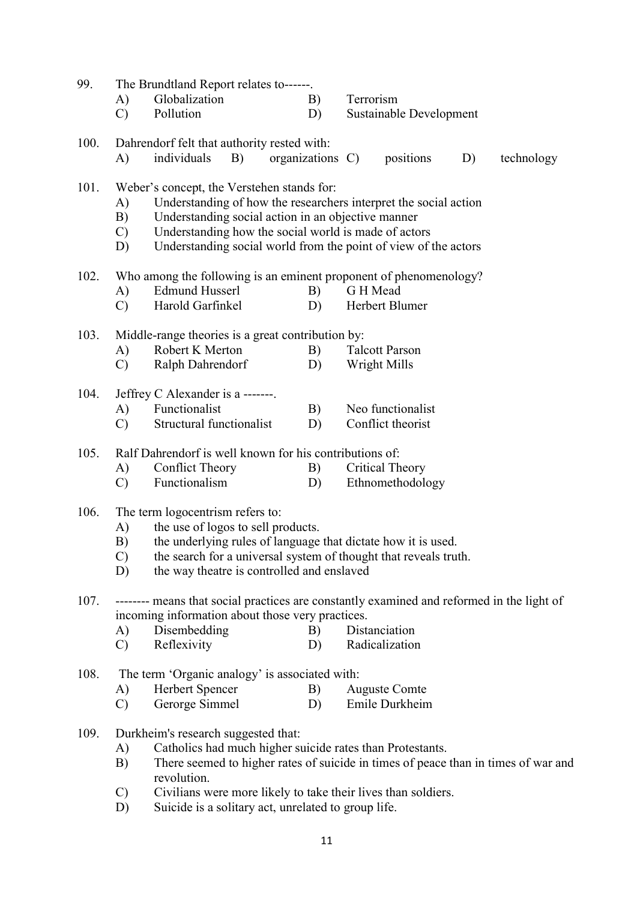| 99.  |                     | The Brundtland Report relates to------.                                                                                                       |                  |           |                         |    |            |
|------|---------------------|-----------------------------------------------------------------------------------------------------------------------------------------------|------------------|-----------|-------------------------|----|------------|
|      | A)                  | Globalization                                                                                                                                 | B)               | Terrorism |                         |    |            |
|      | $\mathcal{C}$       | Pollution                                                                                                                                     | D)               |           | Sustainable Development |    |            |
| 100. |                     | Dahrendorf felt that authority rested with:                                                                                                   |                  |           |                         |    |            |
|      | A)                  | individuals<br>B)                                                                                                                             | organizations C) |           | positions               | D) | technology |
| 101. |                     | Weber's concept, the Verstehen stands for:                                                                                                    |                  |           |                         |    |            |
|      | A)                  | Understanding of how the researchers interpret the social action                                                                              |                  |           |                         |    |            |
|      | B)                  | Understanding social action in an objective manner                                                                                            |                  |           |                         |    |            |
|      | $\mathcal{C}$       | Understanding how the social world is made of actors                                                                                          |                  |           |                         |    |            |
|      | D)                  | Understanding social world from the point of view of the actors                                                                               |                  |           |                         |    |            |
| 102. |                     | Who among the following is an eminent proponent of phenomenology?                                                                             |                  |           |                         |    |            |
|      | A)                  | <b>Edmund Husserl</b>                                                                                                                         | B)               | G H Mead  |                         |    |            |
|      | $\mathcal{C}$       | Harold Garfinkel                                                                                                                              | D)               |           | Herbert Blumer          |    |            |
| 103. |                     | Middle-range theories is a great contribution by:                                                                                             |                  |           |                         |    |            |
|      | A)                  | Robert K Merton                                                                                                                               | B)               |           | <b>Talcott Parson</b>   |    |            |
|      | $\mathcal{C}$       | Ralph Dahrendorf                                                                                                                              | D)               |           | Wright Mills            |    |            |
| 104. |                     | Jeffrey C Alexander is a -------.                                                                                                             |                  |           |                         |    |            |
|      | A)                  | Functionalist                                                                                                                                 | B)               |           | Neo functionalist       |    |            |
|      | $\mathbf{C}$        | Structural functionalist                                                                                                                      | D)               |           | Conflict theorist       |    |            |
| 105. |                     | Ralf Dahrendorf is well known for his contributions of:                                                                                       |                  |           |                         |    |            |
|      | A)                  | <b>Conflict Theory</b>                                                                                                                        | B)               |           | Critical Theory         |    |            |
|      | $\mathcal{C}$       | Functionalism                                                                                                                                 | D)               |           | Ethnomethodology        |    |            |
| 106. |                     | The term logocentrism refers to:                                                                                                              |                  |           |                         |    |            |
|      | A)                  | the use of logos to sell products.                                                                                                            |                  |           |                         |    |            |
|      | B)                  | the underlying rules of language that dictate how it is used.                                                                                 |                  |           |                         |    |            |
|      | $\mathcal{C}$<br>D) | the search for a universal system of thought that reveals truth.<br>the way theatre is controlled and enslaved                                |                  |           |                         |    |            |
|      |                     |                                                                                                                                               |                  |           |                         |    |            |
| 107. |                     | -------- means that social practices are constantly examined and reformed in the light of<br>incoming information about those very practices. |                  |           |                         |    |            |
|      | A)                  | Disembedding                                                                                                                                  | B)               |           | Distanciation           |    |            |
|      | $\mathcal{C}$       | Reflexivity                                                                                                                                   | D)               |           | Radicalization          |    |            |
| 108. |                     | The term 'Organic analogy' is associated with:                                                                                                |                  |           |                         |    |            |
|      | A)                  | Herbert Spencer                                                                                                                               | B)               |           | <b>Auguste Comte</b>    |    |            |
|      | $\mathcal{C}$       | Gerorge Simmel                                                                                                                                | D)               |           | Emile Durkheim          |    |            |
| 109. |                     | Durkheim's research suggested that:                                                                                                           |                  |           |                         |    |            |
|      | A)                  | Catholics had much higher suicide rates than Protestants.                                                                                     |                  |           |                         |    |            |
|      | B)                  | There seemed to higher rates of suicide in times of peace than in times of war and                                                            |                  |           |                         |    |            |
|      |                     | revolution.                                                                                                                                   |                  |           |                         |    |            |
|      | $\mathcal{C}$       | Civilians were more likely to take their lives than soldiers.                                                                                 |                  |           |                         |    |            |
|      | D)                  | Suicide is a solitary act, unrelated to group life.                                                                                           |                  |           |                         |    |            |